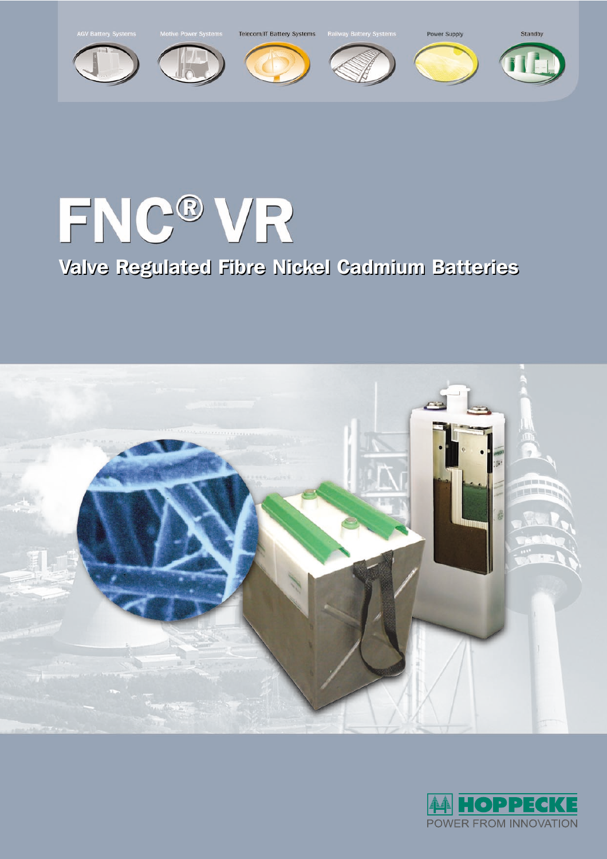

# FNC® VR

Valve Regulated Fibre Nickel Cadmium Batteries Valve Regulated Fibre Nickel Cadmium Batteries



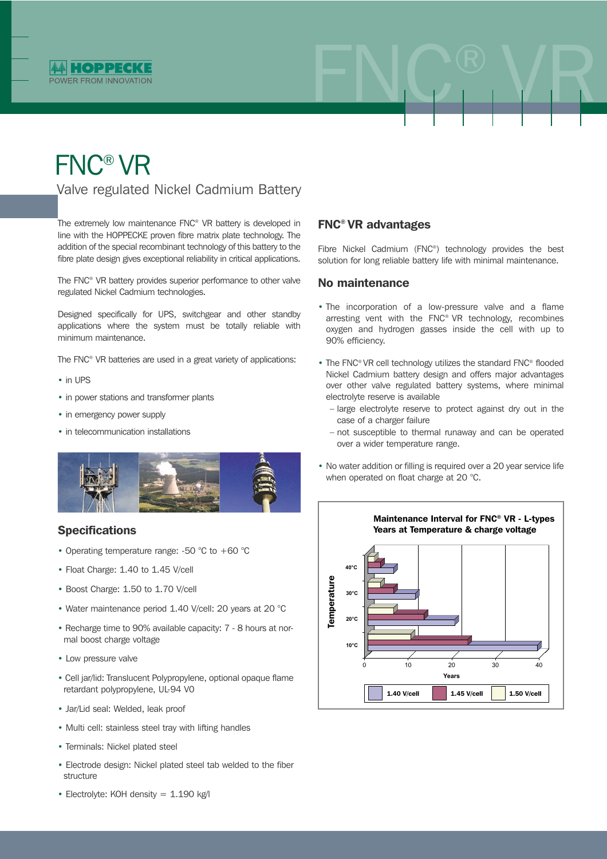

## FNC® VR

Valve regulated Nickel Cadmium Battery

The extremely low maintenance FNC® VR battery is developed in line with the HOPPECKE proven fibre matrix plate technology. The addition of the special recombinant technology of this battery to the fibre plate design gives exceptional reliability in critical applications.

The FNC® VR battery provides superior performance to other valve regulated Nickel Cadmium technologies.

Designed specifically for UPS, switchgear and other standby applications where the system must be totally reliable with minimum maintenance.

The FNC® VR batteries are used in a great variety of applications:

- in UPS
- in power stations and transformer plants
- in emergency power supply
- in telecommunication installations



### **Specifications**

- Operating temperature range: -50 °C to +60 °C
- Float Charge: 1.40 to 1.45 V/cell
- Boost Charge: 1.50 to 1.70 V/cell
- Water maintenance period 1.40 V/cell: 20 years at 20 °C
- Recharge time to 90% available capacity: 7 8 hours at normal boost charge voltage
- Low pressure valve
- Cell jar/lid: Translucent Polypropylene, optional opaque flame retardant polypropylene, UL-94 V0
- Jar/Lid seal: Welded, leak proof
- Multi cell: stainless steel tray with lifting handles
- Terminals: Nickel plated steel
- Electrode design: Nickel plated steel tab welded to the fiber structure
- Electrolyte: KOH density = 1.190 kg/l

### FNC® VR advantages

Fibre Nickel Cadmium (FNC®) technology provides the best solution for long reliable battery life with minimal maintenance.

FNC® VR

#### No maintenance

- The incorporation of a low-pressure valve and a flame arresting vent with the FNC® VR technology, recombines oxygen and hydrogen gasses inside the cell with up to 90% efficiency.
- The FNC® VR cell technology utilizes the standard FNC® flooded Nickel Cadmium battery design and offers major advantages over other valve regulated battery systems, where minimal electrolyte reserve is available
	- large electrolyte reserve to protect against dry out in the case of a charger failure
	- not susceptible to thermal runaway and can be operated over a wider temperature range.
- No water addition or filling is required over a 20 year service life when operated on float charge at 20 °C.

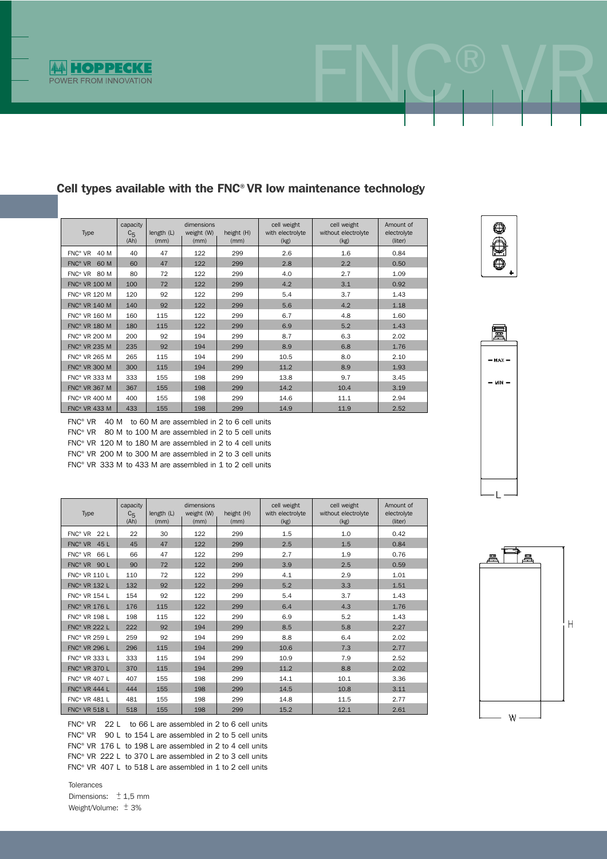

| Type                            | capacity<br>$C_{5}$<br>(Ah) | length (L)<br>(mm) | dimensions<br>weight (W)<br>(mm) | height (H)<br>(mm) | cell weight<br>with electrolyte<br>(kg) | cell weight<br>without electrolyte<br>(kg) | Amount of<br>electrolyte<br>(liter) |
|---------------------------------|-----------------------------|--------------------|----------------------------------|--------------------|-----------------------------------------|--------------------------------------------|-------------------------------------|
| $FNC^*$ VR<br>40 M              | 40                          | 47                 | 122                              | 299                | 2.6                                     | 1.6                                        | 0.84                                |
| $FNC^*$ VR<br>60 M              | 60                          | 47                 | 122                              | 299                | 2.8                                     | 2.2                                        | 0.50                                |
| FNC <sup>®</sup> VR 80 M        | 80                          | 72                 | 122                              | 299                | 4.0                                     | 2.7                                        | 1.09                                |
| <b>FNC<sup>®</sup> VR 100 M</b> | 100                         | 72                 | 122                              | 299                | 4.2                                     | 3.1                                        | 0.92                                |
| <b>FNC<sup>®</sup> VR 120 M</b> | 120                         | 92                 | 122                              | 299                | 5.4                                     | 3.7                                        | 1.43                                |
| <b>FNC<sup>®</sup> VR 140 M</b> | 140                         | 92                 | 122                              | 299                | 5.6                                     | 4.2                                        | 1.18                                |
| <b>FNC<sup>®</sup> VR 160 M</b> | 160                         | 115                | 122                              | 299                | 6.7                                     | 4.8                                        | 1.60                                |
| <b>FNC<sup>®</sup> VR 180 M</b> | 180                         | 115                | 122                              | 299                | 6.9                                     | 5.2                                        | 1.43                                |
| <b>FNC<sup>®</sup> VR 200 M</b> | 200                         | 92                 | 194                              | 299                | 8.7                                     | 6.3                                        | 2.02                                |
| <b>FNC® VR 235 M</b>            | 235                         | 92                 | 194                              | 299                | 8.9                                     | 6.8                                        | 1.76                                |
| <b>FNC<sup>®</sup> VR 265 M</b> | 265                         | 115                | 194                              | 299                | 10.5                                    | 8.0                                        | 2.10                                |
| <b>FNC® VR 300 M</b>            | 300                         | 115                | 194                              | 299                | 11.2                                    | 8.9                                        | 1.93                                |
| FNC® VR 333 M                   | 333                         | 155                | 198                              | 299                | 13.8                                    | 9.7                                        | 3.45                                |
| <b>FNC® VR 367 M</b>            | 367                         | 155                | 198                              | 299                | 14.2                                    | 10.4                                       | 3.19                                |
| <b>FNC<sup>®</sup> VR 400 M</b> | 400                         | 155                | 198                              | 299                | 14.6                                    | 11.1                                       | 2.94                                |
| <b>FNC<sup>®</sup> VR 433 M</b> | 433                         | 155                | 198                              | 299                | 14.9                                    | 11.9                                       | 2.52                                |

### Cell types available with the FNC® VR low maintenance technology

FNC® VR 40 M to 60 M are assembled in 2 to 6 cell units FNC® VR 80 M to 100 M are assembled in 2 to 5 cell units FNC® VR 120 M to 180 M are assembled in 2 to 4 cell units FNC® VR 200 M to 300 M are assembled in 2 to 3 cell units FNC® VR 333 M to 433 M are assembled in 1 to 2 cell units

cell weight cell weight cell weight cell weight cell weight cell weight Amount of capacity dimensions cell weight cell weight cell weight cell weight cell weight cell weight cell without electrolyte electrolyte (Ah) (mm) (mm) (mm) (kg) (kg) (liter) FNC® VR 22 L 22 30 122 299 1.5 1.0 0.42 FNC® VR 45 L 45 47 122 299 2.5 1.5 0.84 FNC® VR 66 L 66 47 122 299 2.7 1.9 0.76 FNC® VR 90 L 90 72 122 299 3.9 2.5 0.59 FNC® VR 110 L 110 72 122 299 4.1 2.9 1.01 FNC® VR 132 L | 132 | 92 | 122 | 299 | 5.2 | 3.3 | 1.51 FNC® VR 154 L 154 92 122 299 5.4 3.7 1.43 FNC® VR 176 L 176 115 122 299 6.4 4.3 1.76 FNC® VR 198 L | 198 | 115 | 122 | 299 | 6.9 | 5.2 | 1.43 FNC® VR 222 L 222 92 194 299 8.5 5.8 2.27 FNC® VR 259 L 259 92 194 299 8.8 6.4 2.02 FNC® VR 296 L 296 | 115 | 194 | 299 | 10.6 | 7.3 | 2.77 FNC® VR 333 L 333 1 115 194 299 10.9 7.9 2.52 FNC® VR 370 L 370 115 194 299 11.2 8.8 2.02 FNC® VR 407 L 407 | 155 | 198 | 299 | 14.1 | 10.1 | 3.36  $FNC^*$  VR 444 L  $\begin{array}{|c|c|c|c|c|c|c|c|c|} \hline \end{array}$  444 | 155 | 198 | 299 | 14.5 | 10.8 | 3.11 FNC® VR 481 L 481 155 198 299 14.8 11.5 2.77 FNC® VR 518 L 518 155 198 299 15.2 12.1 2.61

FNC® VR 22 L to 66 L are assembled in 2 to 6 cell units FNC<sup>®</sup> VR 90 L to 154 L are assembled in 2 to 5 cell units FNC<sup>®</sup> VR 176 L to 198 L are assembled in 2 to 4 cell units FNC® VR 222 L to 370 L are assembled in 2 to 3 cell units FNC<sup>®</sup> VR 407 L to 518 L are assembled in 1 to 2 cell units

Tolerances Dimensions:  $\pm 1.5$  mm Weight/Volume:  $\pm$  3%



FNC® VR